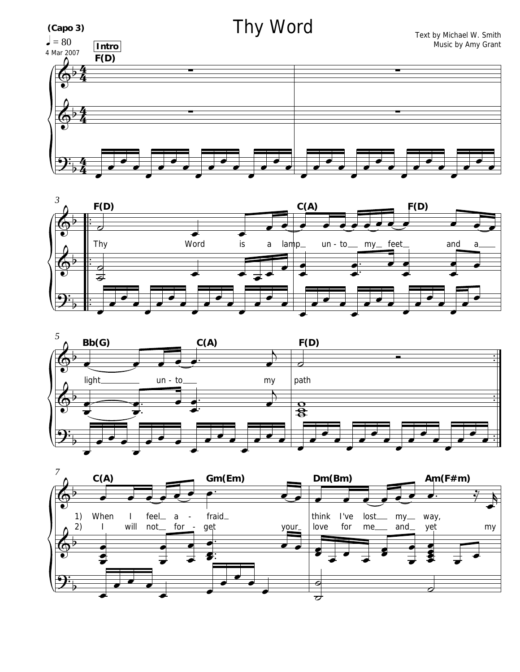





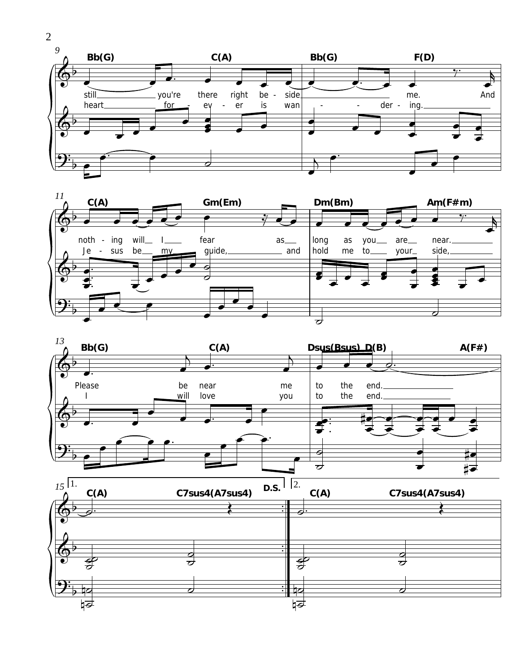